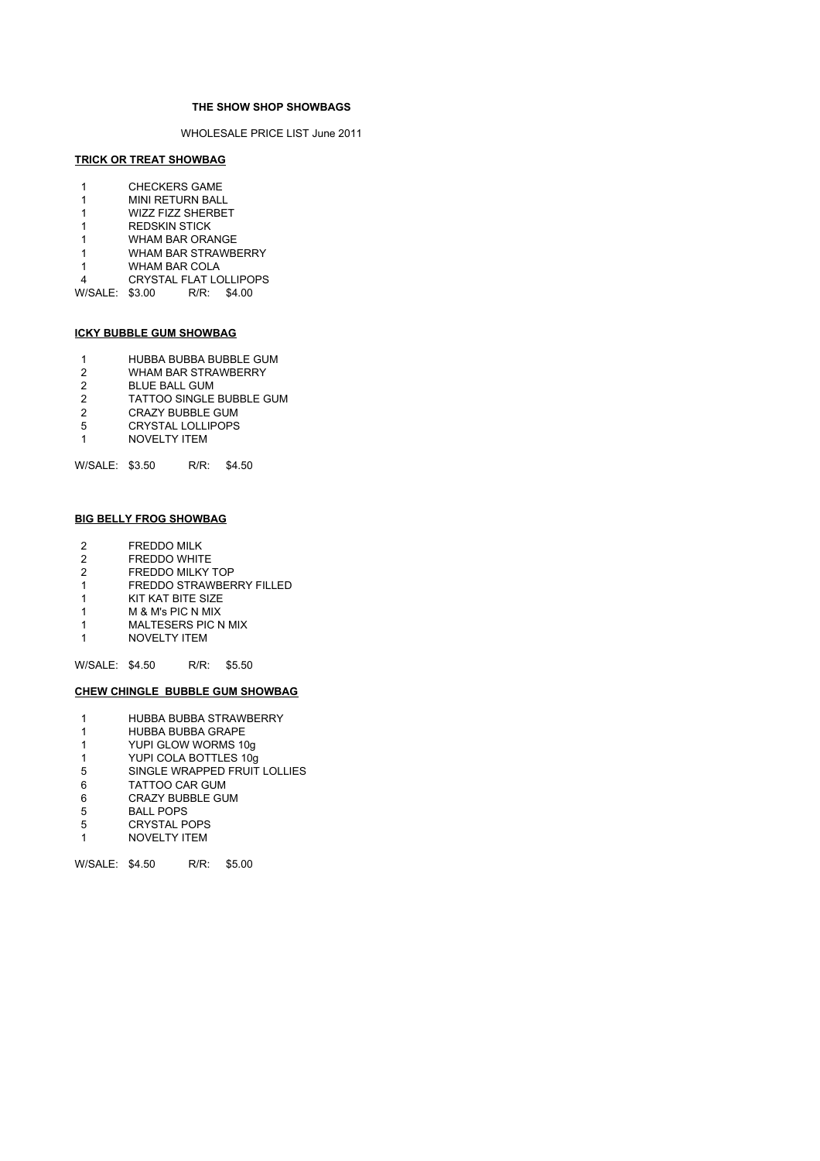#### **THE SHOW SHOP SHOWBAGS**

WHOLESALE PRICE LIST June 2011

# **TRICK OR TREAT SHOWBAG**

- 1 CHECKERS GAME
- 1 MINI RETURN BALL
- 1 WIZZ FIZZ SHERBET
- 1 REDSKIN STICK 1 WHAM BAR ORANGE
- 1 WHAM BAR STRAWBERRY
- 
- 1 WHAM BAR COLA<br>4 CRYSTAL FLAT LC
- CRYSTAL FLAT LOLLIPOPS<br>\$3.00 R/R: \$4.00 W/SALE: \$3.00

# **ICKY BUBBLE GUM SHOWBAG**

- 1 HUBBA BUBBA BUBBLE GUM<br>2 WHAM BAR STRAWBERRY
- WHAM BAR STRAWBERRY
- 2 BLUE BALL GUM<br>2 TATTOO SINGLE
- TATTOO SINGLE BUBBLE GUM
- 2 CRAZY BUBBLE GUM 5 CRYSTAL LOLLIPOPS
- 1 NOVELTY ITEM
- 

W/SALE: \$3.50 R/R: \$4.50

# **BIG BELLY FROG SHOWBAG**

- 2 FREDDO MILK<br>2 FREDDO WHIT
- FREDDO WHITE
- 2 FREDDO MILKY TOP<br>1 FREDDO STRAWBER 1 FREDDO STRAWBERRY FILLED
- 1 KIT KAT BITE SIZE
- 1 M & M's PIC N MIX
- 1 MALTESERS PIC N MIX
- 1 NOVELTY ITEM

#### W/SALE: \$4.50 R/R: \$5.50

#### **CHEW CHINGLE BUBBLE GUM SHOWBAG**

- 1 HUBBA BUBBA STRAWBERRY
- 1 HUBBA BUBBA GRAPE
- 1 YUPI GLOW WORMS 10g
- 1 YUPI COLA BOTTLES 10g<br>5 SINGLE WRAPPED FRUIT SINGLE WRAPPED FRUIT LOLLIES
- 
- 6 TATTOO CAR GUM 6 CRAZY BUBBLE GUM
- 
- 5 BALL POPS<br>5 CRYSTAL P 5 CRYSTAL POPS
- 1 NOVELTY ITEM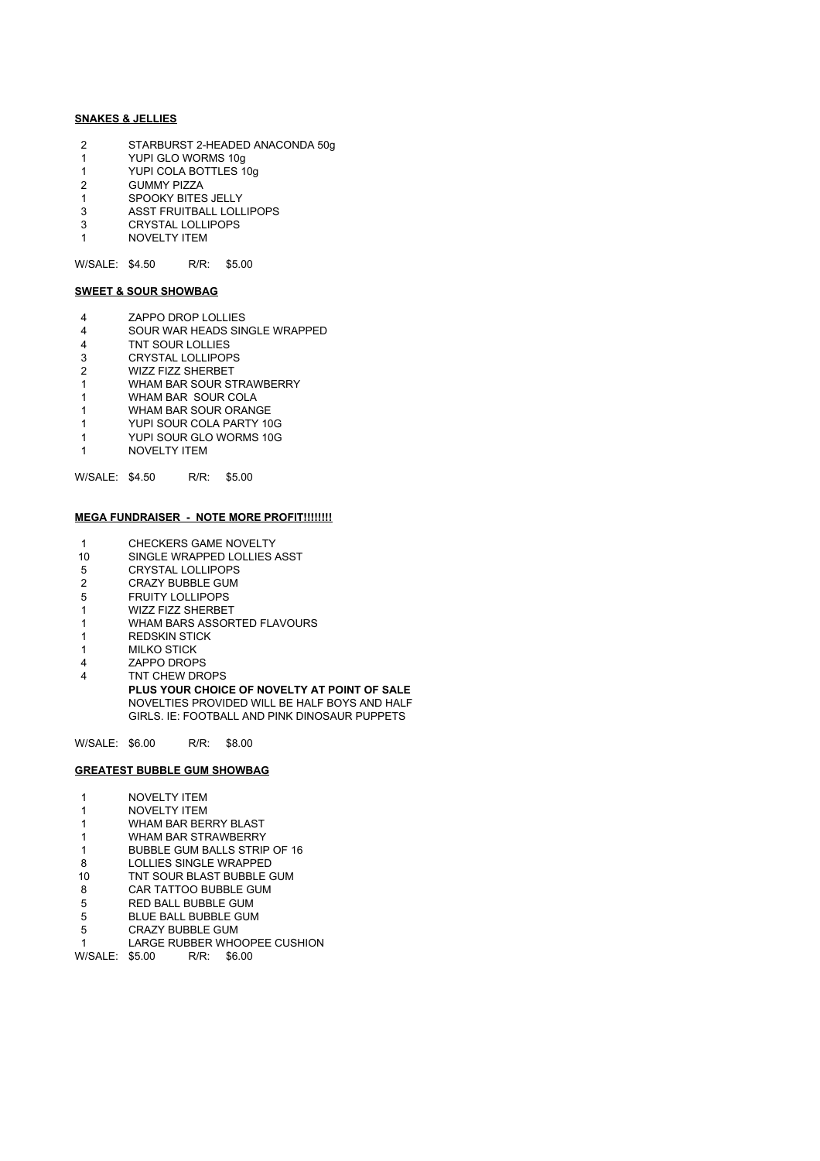### **SNAKES & JELLIES**

- 2 STARBURST 2-HEADED ANACONDA 50g<br>1 YUPI GLO WORMS 10g
- YUPI GLO WORMS 10g
- 1 YUPI COLA BOTTLES 10g
- 2 GUMMY PIZZA
- 1 SPOOKY BITES JELLY
- 3 ASST FRUITBALL LOLLIPOPS<br>3 CRYSTAL LOLLIPOPS CRYSTAL LOLLIPOPS
- 1 NOVELTY ITEM

W/SALE: \$4.50 R/R: \$5.00

# **SWEET & SOUR SHOWBAG**

- 4 ZAPPO DROP LOLLIES
- 4 SOUR WAR HEADS SINGLE WRAPPED<br>4 TNT SOUR LOLLIES
- 4 TNT SOUR LOLLIES<br>3 CRYSTAL LOLLIPOP
- CRYSTAL LOLLIPOPS
- 2 WIZZ FIZZ SHERBET<br>1 WHAM BAR SOUR ST WHAM BAR SOUR STRAWBERRY
- 1 WHAM BAR SOUR COLA
- 1 WHAM BAR SOUR ORANGE
- 1 YUPI SOUR COLA PARTY 10G
- 1 YUPI SOUR GLO WORMS 10G
- 1 NOVELTY ITEM

# W/SALE: \$4.50 R/R: \$5.00

#### **MEGA FUNDRAISER - NOTE MORE PROFIT!!!!!!!!**

- 1 CHECKERS GAME NOVELTY
- 10 SINGLE WRAPPED LOLLIES ASST<br>5 CRYSTAL LOLLIPOPS
- 5 CRYSTAL LOLLIPOPS
- 2 CRAZY BUBBLE GUM<br>5 FRUITY LOLLIPOPS
- 5 FRUITY LOLLIPOPS
- 1 WIZZ FIZZ SHERBET
- 1 WHAM BARS ASSORTED FLAVOURS
- 1 REDSKIN STICK
- 1 MILKO STICK 4 ZAPPO DROPS
- 4 TNT CHEW DROPS

**PLUS YOUR CHOICE OF NOVELTY AT POINT OF SALE**  NOVELTIES PROVIDED WILL BE HALF BOYS AND HALF GIRLS. IE: FOOTBALL AND PINK DINOSAUR PUPPETS

W/SALE: \$6.00 R/R: \$8.00

#### **GREATEST BUBBLE GUM SHOWBAG**

- 1 NOVELTY ITEM
- 1 NOVELTY ITEM
- 1 WHAM BAR BERRY BLAST
- 1 WHAM BAR STRAWBERRY
- 1 BUBBLE GUM BALLS STRIP OF 16 8 LOLLIES SINGLE WRAPPED
- 10 TNT SOUR BLAST BUBBLE GUM
- 
- 8 CAR TATTOO BUBBLE GUM<br>5 RED BALL BUBBLE GUM 5 RED BALL BUBBLE GUM
- 
- 5 BLUE BALL BUBBLE GUM<br>5 CRAZY BUBBLE GUM CRAZY BUBBLE GUM
- 1 LARGE RUBBER WHOOPEE CUSHION

W/SALE: \$5.00 R/R: \$6.00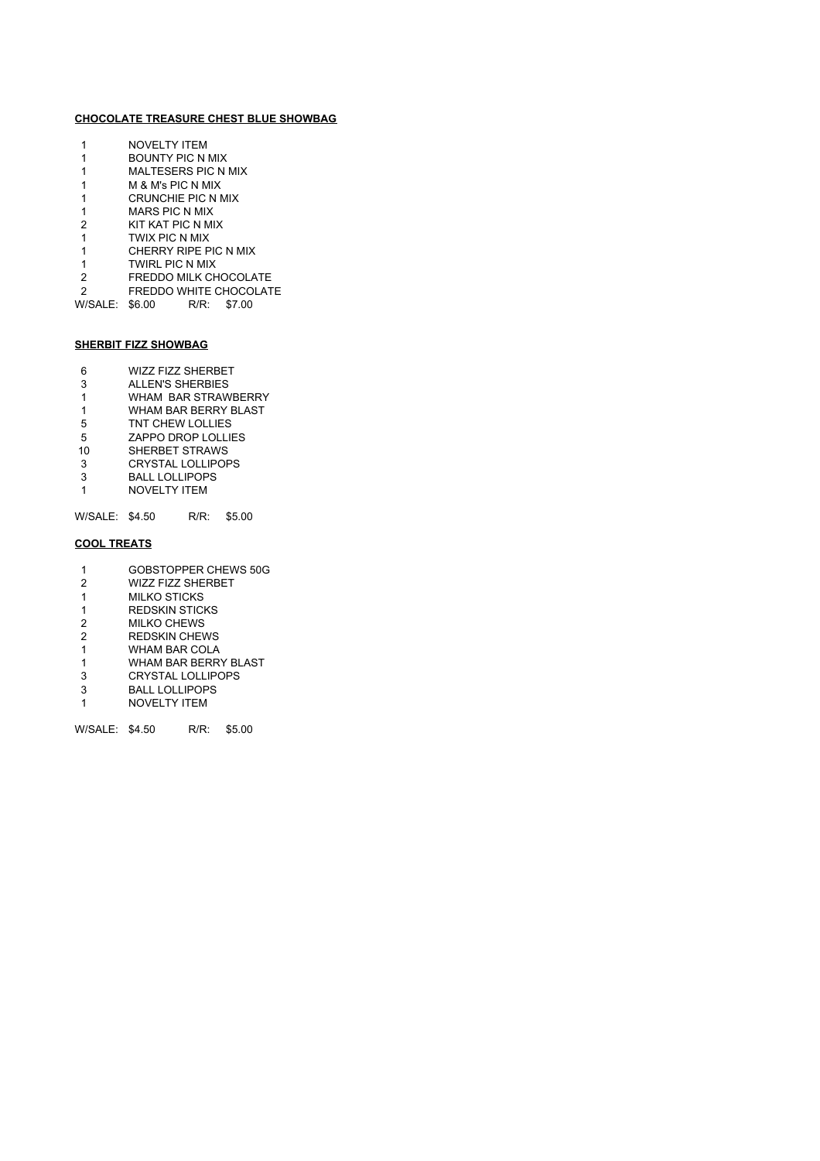# **CHOCOLATE TREASURE CHEST BLUE SHOWBAG**

|   | NOVEL TY ITEM              |
|---|----------------------------|
|   | BOUNTY PIC N MIX           |
| 1 | <b>MALTESERS PIC N MIX</b> |
| 1 | M & M's PIC N MIX          |
| 1 | <b>CRUNCHIE PIC N MIX</b>  |
| 1 | <b>MARS PIC N MIX</b>      |
| 2 | KIT KAT PIC N MIX          |
| 1 | TWIX PIC N MIX             |
| 1 | CHERRY RIPE PIC N MIX      |
| 1 | <b>TWIRL PIC N MIX</b>     |
| 2 | FREDDO MII K CHOCOI ATE    |
| 2 | FREDDO WHITE CHOCOLATE     |
|   |                            |

W/SALE: \$6.00 R/R: \$7.00

# **SHERBIT FIZZ SHOWBAG**

- 6 WIZZ FIZZ SHERBET<br>3 ALLEN'S SHERBIES
- ALLEN'S SHERBIES
- 1 WHAM BAR STRAWBERRY<br>1 WHAM BAR BERRY BLAST WHAM BAR BERRY BLAST
- 5 TNT CHEW LOLLIES
- 5 ZAPPO DROP LOLLIES
- 10 SHERBET STRAWS
- 3 CRYSTAL LOLLIPOPS<br>3 BALL LOLLIPOPS
- BALL LOLLIPOPS
- 1 NOVELTY ITEM

W/SALE: \$4.50 R/R: \$5.00

# **COOL TREATS**

- 1 GOBSTOPPER CHEWS 50G<br>2 WIZZ FIZZ SHERBET
- 2 WIZZ FIZZ SHERBET<br>1 MILKO STICKS
- **MILKO STICKS**
- 1 REDSKIN STICKS 2 MILKO CHEWS
- 2 REDSKIN CHEWS
- 
- 1 WHAM BAR COLA<br>1 WHAM BAR BERR' WHAM BAR BERRY BLAST
- 3 CRYSTAL LOLLIPOPS<br>3 BALL LOLLIPOPS
- BALL LOLLIPOPS
- 1 NOVELTY ITEM

W/SALE: \$4.50 R/R: \$5.00